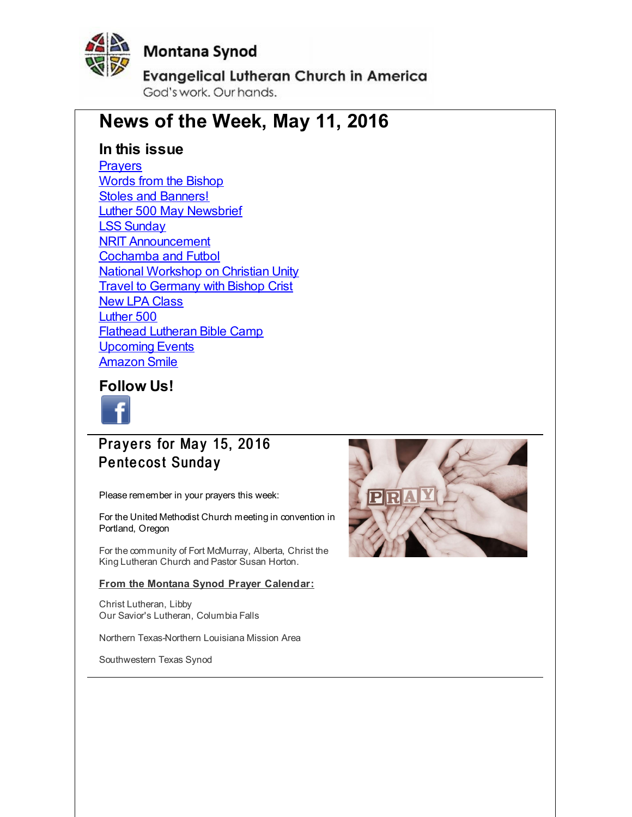<span id="page-0-0"></span>

# **Montana Synod**

**Evangelical Lutheran Church in America** 

God's work, Our hands,

# **News of the Week, May 11, 2016**

#### **In this issue**

**[Prayers](#page-0-0)** Words from the [Bishop](#page-0-0) Stoles and [Banners!](#page-0-0) Luther 500 May [Newsbrief](#page-0-0) LSS [Sunday](#page-0-0) NRIT [Announcement](#page-0-0) [Cochamba](#page-0-0) and Futbol National [Workshop](#page-0-0) on Christian Unity **Travel to [Germany](#page-0-0) with Bishop Crist** New LPA [Class](#page-0-0) [Luther](#page-0-0) 500 Flathead [Lutheran](#page-0-0) Bible Camp [Upcoming](#page-0-0) Events [Amazon](#page-0-0) Smile

#### **Follow Us!**



Prayers for May 15, 2016 Pentecost Sunday

Please remember in your prayers this week:

For the United Methodist Church meeting in convention in Portland, Oregon

For the community of Fort McMurray, Alberta, Christ the King Lutheran Church and Pastor Susan Horton.

#### **From the Montana Synod Prayer Calendar:**

Christ Lutheran, Libby Our Savior's Lutheran, Columbia Falls

Northern Texas-Northern Louisiana Mission Area

Southwestern Texas Synod

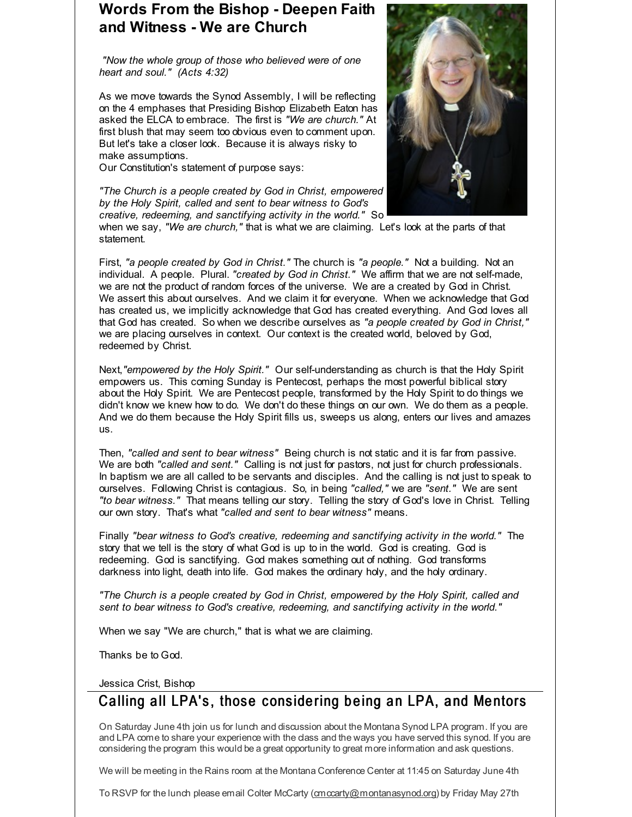# **Words From the Bishop - Deepen Faith and Witness - We are Church**

*"Now the whole group of those who believed were of one heart and soul." (Acts 4:32)*

As we move towards the Synod Assembly, I will be reflecting on the 4 emphases that Presiding Bishop Elizabeth Eaton has asked the ELCA to embrace. The first is *"We are church."* At first blush that may seem too obvious even to comment upon. But let's take a closer look. Because it is always risky to make assumptions.

Our Constitution's statement of purpose says:

*"The Church is a people created by God in Christ, empowered by the Holy Spirit, called and sent to bear witness to God's creative, redeeming, and sanctifying activity in the world."* So



when we say, *"We are church,"* that is what we are claiming. Let's look at the parts of that statement.

First, *"a people created by God in Christ."* The church is *"a people."* Not a building. Not an individual. A people. Plural. *"created by God in Christ."* We affirm that we are not self-made, we are not the product of random forces of the universe. We are a created by God in Christ. We assert this about ourselves. And we claim it for everyone. When we acknowledge that God has created us, we implicitly acknowledge that God has created everything. And God loves all that God has created. So when we describe ourselves as *"a people created by God in Christ,"* we are placing ourselves in context. Our context is the created world, beloved by God, redeemed by Christ.

Next,*"empowered by the Holy Spirit."* Our self-understanding as church is that the Holy Spirit empowers us. This coming Sunday is Pentecost, perhaps the most powerful biblical story about the Holy Spirit. We are Pentecost people, transformed by the Holy Spirit to do things we didn't know we knew how to do. We don't do these things on our own. We do them as a people. And we do them because the Holy Spirit fills us, sweeps us along, enters our lives and amazes us.

Then, *"called and sent to bear witness"* Being church is not static and it is far from passive. We are both *"called and sent."* Calling is not just for pastors, not just for church professionals. In baptism we are all called to be servants and disciples. And the calling is not just to speak to ourselves. Following Christ is contagious. So, in being *"called,"* we are *"sent."* We are sent *"to bear witness."* That means telling our story. Telling the story of God's love in Christ. Telling our own story. That's what *"called and sent to bear witness"* means.

Finally *"bear witness to God's creative, redeeming and sanctifying activity in the world."* The story that we tell is the story of what God is up to in the world. God is creating. God is redeeming. God is sanctifying. God makes something out of nothing. God transforms darkness into light, death into life. God makes the ordinary holy, and the holy ordinary.

*"The Church is a people created by God in Christ, empowered by the Holy Spirit, called and sent to bear witness to God's creative, redeeming, and sanctifying activity in the world."*

When we say "We are church," that is what we are claiming.

Thanks be to God.

Jessica Crist, Bishop

# Calling all LPA's, those considering being an LPA, and Mentors

On Saturday June 4th join us for lunch and discussion about the Montana Synod LPA program. If you are and LPA come to share your experience with the class and the ways you have served this synod. If you are considering the program this would be a great opportunity to great more information and ask questions.

We will be meeting in the Rains room at the Montana Conference Center at 11:45 on Saturday June 4th

To RSVP for the lunch please email Colter McCarty [\(cmccarty@montanasynod.org](mailto:cmccarty@montanasynod.org)) by Friday May 27th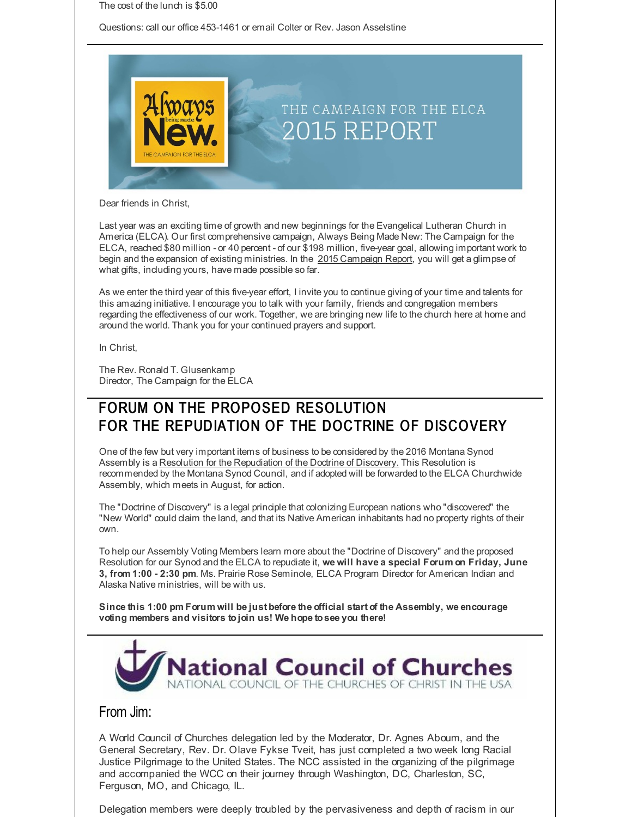The cost of the lunch is \$5.00

Questions: call our office 453-1461 or email Colter or Rev. Jason Asselstine



Dear friends in Christ,

Last year was an exciting time of growth and new beginnings for the Evangelical Lutheran Church in America (ELCA). Our first comprehensive campaign, Always Being Made New: The Campaign for the ELCA, reached \$80 million - or 40 percent - of our \$198 million, five-year goal, allowing important work to begin and the expansion of existing ministries. In the 2015 [Campaign](http://r20.rs6.net/tn.jsp?f=001VR0bYdoLL7NJWggj3T_L1fmUzlR0RMXqqjtX4VaZEW8de-FOEDRxXJ7F1PDvfW_BGG5mV7eKwrA1z3p66qKNopEIJIGVQjt92o2Rpf_CpzuuthE7V8JFFLmnFzkb8bOKQZHXGTmn8Cxs6ykPku7Wo1t7jbWW1_2e4SgnN0G5uEt93Q7gKgqwnTKpNkbB7vJsJrWLfUTf3u18WbUjs3UOIYneXbJRCSPP81ZP1MxDXuUHsKZA8iTHPkQYXTrmwkdKcQXis6IestpZamcqMfLgFvJKxYTipc4hTv_Hv6zHfIQ2_LFsWQPhK2jUmq2Mg9WtwursvkPzyVZPYAK4jndT4PMwRiCdFozQX8z7F_ETbLXr5GaAoN5dgTZybp1iQXunZHBLFsiVntNXlPLc6PBqcVAQ3N8xtAa83TeeWJNCP01mJeR8UeJTSkfaRV2teTjVkmuesEWffN7aFyNUXSXveg==&c=&ch=) Report, you will get a glimpse of what gifts, including yours, have made possible so far.

As we enter the third year of this five-year effort, I invite you to continue giving of your time and talents for this amazing initiative. I encourage you to talk with your family, friends and congregation members regarding the effectiveness of our work. Together, we are bringing new life to the church here at home and around the world. Thank you for your continued prayers and support.

In Christ,

The Rev. Ronald T. Glusenkamp Director, The Campaign for the ELCA

# FORUM ON THE PROPOSED RESOLUTION FOR THE REPUDIATION OF THE DOCTRINE OF DISCOVERY

One of the few but very important items of business to be considered by the 2016 Montana Synod Assembly is a Resolution for the Repudiation of the Doctrine of Discovery. This Resolution is recommended by the Montana Synod Council, and if adopted will be forwarded to the ELCA Churchwide Assembly, which meets in August, for action.

The "Doctrine of Discovery" is a legal principle that colonizing European nations who "discovered" the "New World" could claim the land, and that its Native American inhabitants had no property rights of their own.

To help our Assembly Voting Members learn more about the "Doctrine of Discovery" and the proposed Resolution for our Synod and the ELCA to repudiate it, **we will have a special Forum on Friday, June 3, from 1:00 - 2:30 pm**. Ms. Prairie Rose Seminole, ELCA Program Director for American Indian and Alaska Native ministries, will be with us.

**Since this 1:00 pm Forum will be just before the official start of the Assembly, we encourage voting members and visitors tojoin us! We hope tosee you there!**



#### From Jim:

A World Council of Churches delegation led by the Moderator, Dr. Agnes Aboum, and the General Secretary, Rev. Dr. Olave Fykse Tveit, has just completed a two week long Racial Justice Pilgrimage to the United States. The NCC assisted in the organizing of the pilgrimage and accompanied the WCC on their journey through Washington, DC, Charleston, SC, Ferguson, MO, and Chicago, IL.

Delegation members were deeply troubled by the pervasiveness and depth of racism in our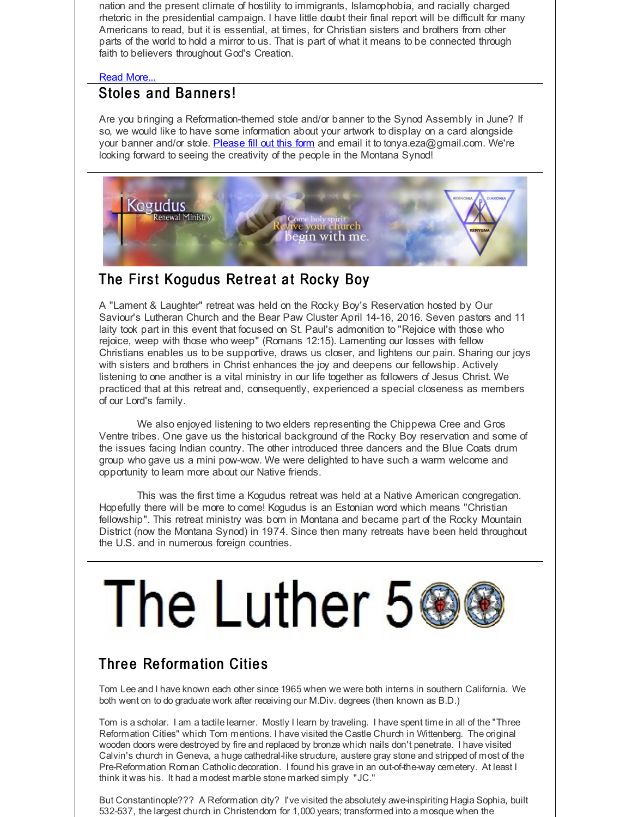nation and the present climate of hostility to immigrants, Islamophobia, and racially charged rhetoric in the presidential campaign. I have little doubt their final report will be difficult for many Americans to read, but it is essential, at times, for Christian sisters and brothers from other parts of the world to hold a mirror to us. That is part of what it means to be connected through faith to believers throughout God's Creation.

#### Read [More...](http://r20.rs6.net/tn.jsp?f=001VR0bYdoLL7NJWggj3T_L1fmUzlR0RMXqqjtX4VaZEW8de-FOEDRxXJ7F1PDvfW_BmW8ysIuvQultci4Ns64cA47z3wDGGawR35BhrnvNKzRqb32wn6g9RbaHb_A2YrcF_l65DYtmMb6-2ERBSMyJlY0T_4Wasv0ZtNwPma1h6ULDdROEJCQtoFzMqwhsCHAS0DL98Z473FoKgQb7m1aoL3DxqMjLDjry1S2gMs4bCDBvs7JriKxw2-7nxGbqp9424yMqCyCBQGonu0wlaNcpqFDUdYtaGQDww_gg_CXnxlOcS34MWi5OF_QTKjfFhBkYpL48WEognhE=&c=&ch=)

# Stoles and Banners!

Are you bringing a Reformation-themed stole and/or banner to the Synod Assembly in June? If so, we would like to have some information about your artwork to display on a card alongside your banner and/or stole. [Please](http://r20.rs6.net/tn.jsp?f=001VR0bYdoLL7NJWggj3T_L1fmUzlR0RMXqqjtX4VaZEW8de-FOEDRxXKlT7JLhhnMO7gjSYomC657FacxRhOB5APvEO5WSswQqnVl1_v56wm2H0rCV9DEU2QUibfOuewmwolkU0lm6g2V73u2srLENuRPcNNBZ_CILWETFyidZH0BcTnHGagchqvev7eU1wxcZMpB9-E9DzG8-6rkTWyXf6FNfG4VJeFZVWNr8L_ytpydeYR-TC2cOk3ejE1HPo-V87T8C775XB_iNLTvW1OD-goFg_3PkJO9L&c=&ch=) fill out this form and email it to tonya.eza@gmail.com. We're looking forward to seeing the creativity of the people in the Montana Synod!



# The First Kogudus Retreat at Rocky Boy

A "Lament & Laughter" retreat was held on the Rocky Boy's Reservation hosted by Our Saviour's Lutheran Church and the Bear Paw Cluster April 14-16, 2016. Seven pastors and 11 laity took part in this event that focused on St. Paul's admonition to "Rejoice with those who rejoice, weep with those who weep" (Romans 12:15). Lamenting our losses with fellow Christians enables us to be supportive, draws us closer, and lightens our pain. Sharing our joys with sisters and brothers in Christ enhances the joy and deepens our fellowship. Actively listening to one another is a vital ministry in our life together as followers of Jesus Christ. We practiced that at this retreat and, consequently, experienced a special closeness as members of our Lord's family.

We also enjoyed listening to two elders representing the Chippewa Cree and Gros Ventre tribes. One gave us the historical background of the Rocky Boy reservation and some of the issues facing Indian country. The other introduced three dancers and the Blue Coats drum group who gave us a mini pow-wow. We were delighted to have such a warm welcome and opportunity to learn more about our Native friends.

This was the first time a Kogudus retreat was held at a Native American congregation. Hopefully there will be more to come! Kogudus is an Estonian word which means "Christian fellowship". This retreat ministry was born in Montana and became part of the Rocky Mountain District (now the Montana Synod) in 1974. Since then many retreats have been held throughout the U.S. and in numerous foreign countries.

# The Luther 56

# **Three Reformation Cities**

Tom Lee and I have known each other since 1965 when we were both interns in southern California. We both went on to do graduate work after receiving our M.Div. degrees (then known as B.D.)

Tom is a scholar. I am a tactile learner. Mostly I learn by traveling. I have spent time in all of the "Three Reformation Cities" which Tom mentions. I have visited the Castle Church in Wittenberg. The original wooden doors were destroyed by fire and replaced by bronze which nails don't penetrate. I have visited Calvin's church in Geneva, a huge cathedral-like structure, austere gray stone and stripped of most of the Pre-Reformation Roman Catholic decoration. I found his grave in an out-of-the-way cemetery. At least I think it was his. It had a modest marble stone marked simply "JC."

But Constantinople??? A Reformation city? I've visited the absolutely awe-inspiriting Hagia Sophia, built 532-537, the largest church in Christendom for 1,000 years; transformed into a mosque when the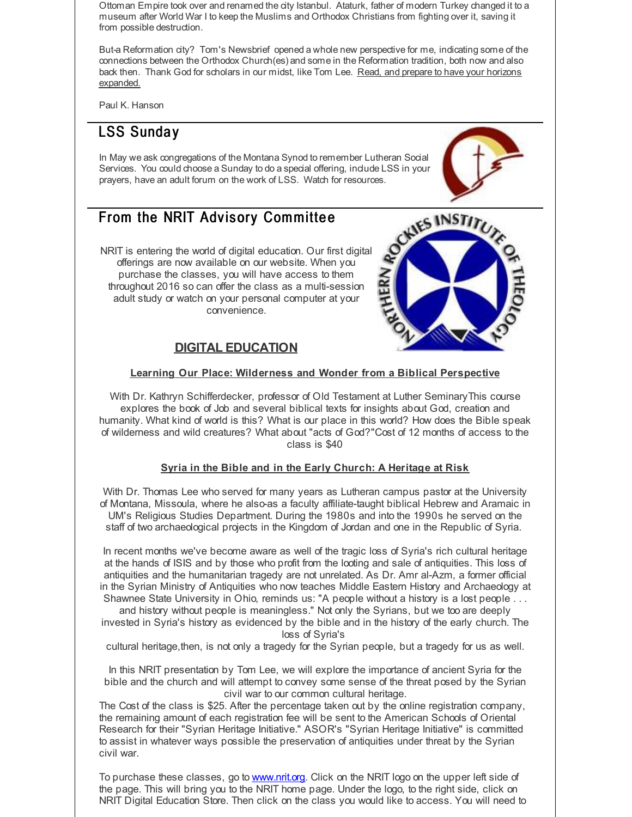Ottoman Empire took over and renamed the city Istanbul. Ataturk, father of modern Turkey changed it to a museum after World War I to keep the Muslims and Orthodox Christians from fighting over it, saving it from possible destruction.

But-a Reformation city? Tom's Newsbrief opened a whole new perspective for me, indicating some of the connections between the Orthodox Church(es) and some in the Reformation tradition, both now and also back then. Thank God for scholars in our midst, like Tom Lee. Read, and prepare to have your horizons [expanded.](http://r20.rs6.net/tn.jsp?f=001VR0bYdoLL7NJWggj3T_L1fmUzlR0RMXqqjtX4VaZEW8de-FOEDRxXAKfNjQU04iyeEgsAGodtV0bqa1HXu5BbcT-Iq2J3bx9E9PWoy32AUu_MMTtGtiK6-aChQHj1FfRQwdQLl4EkTZ0ezWH9l_SmVFm2Fmn6Ok_LK8Is-C55zTEQ7MwF04ZgYnCUrEfJO-eyVa9I-LCgy0=&c=&ch=)

Paul K. Hanson

# LSS Sunday

In May we ask congregations of the Montana Synod to remember Lutheran Social Services. You could choose a Sunday to do a special offering, include LSS in your prayers, have an adult forum on the work of LSS. Watch for resources.



#### From the NRIT Advisory Committee

NRIT is entering the world of digital education. Our first digital offerings are now available on our website. When you purchase the classes, you will have access to them throughout 2016 so can offer the class as a multi-session adult study or watch on your personal computer at your convenience.

#### **DIGITAL EDUCATION**



#### **Learning Our Place: Wilderness and Wonder from a Biblical Perspective**

With Dr. Kathryn Schifferdecker, professor of Old Testament at Luther SeminaryThis course explores the book of Job and several biblical texts for insights about God, creation and humanity. What kind of world is this? What is our place in this world? How does the Bible speak of wilderness and wild creatures? What about "acts of God?"Cost of 12 months of access to the class is \$40

#### **Syria in the Bible and in the Early Church: A Heritage at Risk**

With Dr. Thomas Lee who served for many years as Lutheran campus pastor at the University of Montana, Missoula, where he also-as a faculty affiliate-taught biblical Hebrew and Aramaic in UM's Religious Studies Department. During the 1980s and into the 1990s he served on the staff of two archaeological projects in the Kingdom of Jordan and one in the Republic of Syria.

In recent months we've become aware as well of the tragic loss of Syria's rich cultural heritage at the hands of ISIS and by those who profit from the looting and sale of antiquities. This loss of antiquities and the humanitarian tragedy are not unrelated. As Dr. Amr al-Azm, a former official in the Syrian Ministry of Antiquities who now teaches Middle Eastern History and Archaeology at Shawnee State University in Ohio, reminds us: "A people without a history is a lost people . . .

and history without people is meaningless." Not only the Syrians, but we too are deeply invested in Syria's history as evidenced by the bible and in the history of the early church. The loss of Syria's

cultural heritage,then, is not only a tragedy for the Syrian people, but a tragedy for us as well.

In this NRIT presentation by Tom Lee, we will explore the importance of ancient Syria for the bible and the church and will attempt to convey some sense of the threat posed by the Syrian civil war to our common cultural heritage.

The Cost of the class is \$25. After the percentage taken out by the online registration company, the remaining amount of each registration fee will be sent to the American Schools of Oriental Research for their "Syrian Heritage Initiative." ASOR's "Syrian Heritage Initiative" is committed to assist in whatever ways possible the preservation of antiquities under threat by the Syrian civil war.

To purchase these classes, go to [www.nrit.org](http://r20.rs6.net/tn.jsp?f=001VR0bYdoLL7NJWggj3T_L1fmUzlR0RMXqqjtX4VaZEW8de-FOEDRxXOj_S8nccOUmFwJoJQ5MhNnZWZal7ZU8I335WHt7AOx7VWLbrUv_6o7q2REZnmoudQ1cDf0u-jEc82UCMjc4Zd31tuqSOQCmoBS_ZLA7nqAD&c=&ch=). Click on the NRIT logo on the upper left side of the page. This will bring you to the NRIT home page. Under the logo, to the right side, click on NRIT Digital Education Store. Then click on the class you would like to access. You will need to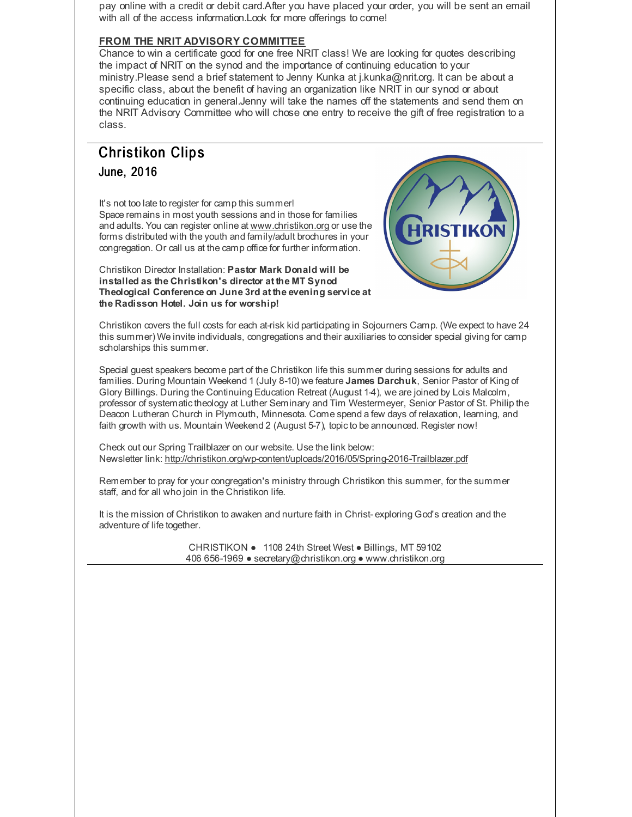pay online with a credit or debit card.After you have placed your order, you will be sent an email with all of the access information.Look for more offerings to come!

#### **FROM THE NRIT ADVISORY COMMITTEE**

Chance to win a certificate good for one free NRIT class! We are looking for quotes describing the impact of NRIT on the synod and the importance of continuing education to your ministry.Please send a brief statement to Jenny Kunka at j.kunka@nrit.org. It can be about a specific class, about the benefit of having an organization like NRIT in our synod or about continuing education in general.Jenny will take the names off the statements and send them on the NRIT Advisory Committee who will chose one entry to receive the gift of free registration to a class.

# **Christikon Clips** June, 2016

It's not too late to register for camp this summer! Space remains in most youth sessions and in those for families and adults. You can register online at [www.christikon.org](http://r20.rs6.net/tn.jsp?f=001VR0bYdoLL7NJWggj3T_L1fmUzlR0RMXqqjtX4VaZEW8de-FOEDRxXHhKV286TrhVUPy-CHn7TrvxS3dIXrdvUXw9N2WsCpwgE6sCyX-385mI4wV6HmhV51TDzNEDcOFd9RlMyBZ7jz6iARLOaQZlOtPdx7UlwbgBnOfHflqqbqA=&c=&ch=) or use the forms distributed with the youth and family/adult brochures in your congregation. Or call us at the camp office for further information.

Christikon Director Installation: **Pastor Mark Donald will be installed as the Christikon's director at the MT Synod Theological Conference on June 3rd at the evening service at the Radisson Hotel. Join us for worship!**



Christikon covers the full costs for each at-risk kid participating in Sojourners Camp. (We expect to have 24 this summer) We invite individuals, congregations and their auxiliaries to consider special giving for camp scholarships this summer.

Special guest speakers become part of the Christikon life this summer during sessions for adults and families. During Mountain Weekend 1 (July 8-10) we feature **James Darchuk**, Senior Pastor of King of Glory Billings. During the Continuing Education Retreat (August 1-4), we are joined by Lois Malcolm, professor of systematictheology at Luther Seminary and Tim Westermeyer, Senior Pastor of St. Philip the Deacon Lutheran Church in Plymouth, Minnesota. Come spend a few days of relaxation, learning, and faith growth with us. Mountain Weekend 2 (August 5-7), topic to be announced. Register now!

Check out our Spring Trailblazer on our website. Use the link below: Newsletter link: [http://christikon.org/wp-content/uploads/2016/05/Spring-2016-Trailblazer.pdf](http://r20.rs6.net/tn.jsp?f=001VR0bYdoLL7NJWggj3T_L1fmUzlR0RMXqqjtX4VaZEW8de-FOEDRxXJ7F1PDvfW_BWAVF1IjYsRJzOZWzrAYC9ccmwXe0bt_S-yOOk4i4I8zYqQ7Wh54AMvrgk2C0rVV7XIUeS11GYqWYZ5IXKxge3WT2vCmU086Sz78Gcpaixjp5Wk1dtO5Z0gMbgl13x250pGuzfj-fxB3Hny0oVMqQv7-9yqu3c-TWktsYphiJJjkPMNPPfIoTQEpHYXRd-nKz&c=&ch=)

Remember to pray for your congregation's ministry through Christikon this summer, for the summer staff, and for all who join in the Christikon life.

It is the mission of Christikon to awaken and nurture faith in Christ- exploring God's creation and the adventure of life together.

> CHRISTIKON ● 1108 24th Street West ● Billings, MT 59102 406 656-1969 ● secretary@christikon.org ● www.christikon.org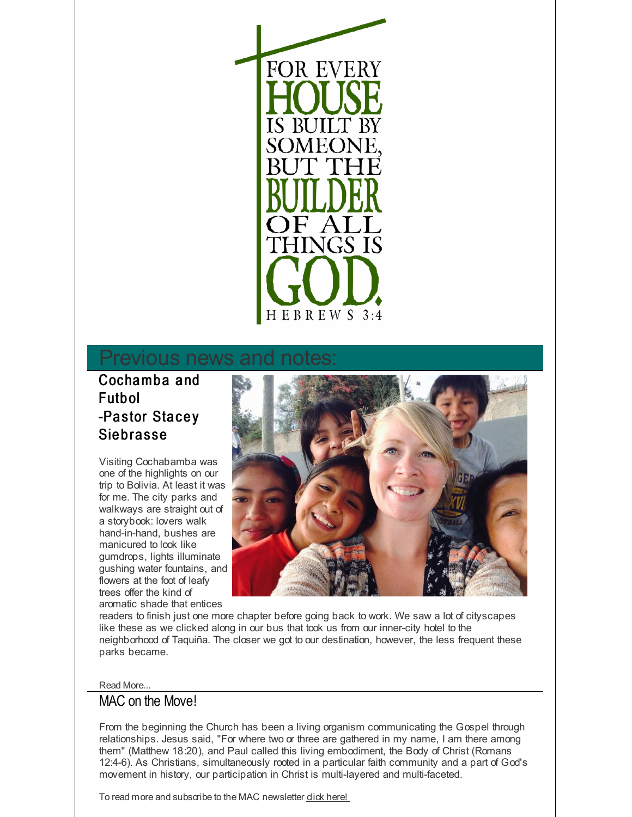

# Previous news and

# Cochamba and **Futbol** -Pastor Stacey **Siebrasse**

Visiting Cochabamba was one of the highlights on our trip to Bolivia. At least it was for me. The city parks and walkways are straight out of a storybook: lovers walk hand-in-hand, bushes are manicured to look like gumdrops, lights illuminate gushing water fountains, and flowers at the foot of leafy trees offer the kind of aromatic shade that entices



readers to finish just one more chapter before going back to work. We saw a lot of cityscapes like these as we clicked along in our bus that took us from our inner-city hotel to the neighborhood of Taquiña. The closer we got to our destination, however, the less frequent these parks became.

#### Read More...

#### MAC on the Move!

From the beginning the Church has been a living organism communicating the Gospel through relationships. Jesus said, "For where two or three are gathered in my name, I am there among them" (Matthew 18:20), and Paul called this living embodiment, the Body of Christ (Romans 12:4-6). As Christians, simultaneously rooted in a particular faith community and a part of God's movement in history, our participation in Christ is multi-layered and multi-faceted.

To read more and subscribe to the MAC newsletter **click [here!](http://r20.rs6.net/tn.jsp?f=001VR0bYdoLL7NJWggj3T_L1fmUzlR0RMXqqjtX4VaZEW8de-FOEDRxXJNIsUcYFliJD0OcI2H65NvTd10QfV8TxZeJ2k-CZl8T7GGUBraei04W0NYpdjqlDM2XoriwamisdQgJ8_HOsWdyz7WCaCcBWMgY1VpnhJyl5eafirOMsresf-bkiychDg==&c=&ch=)**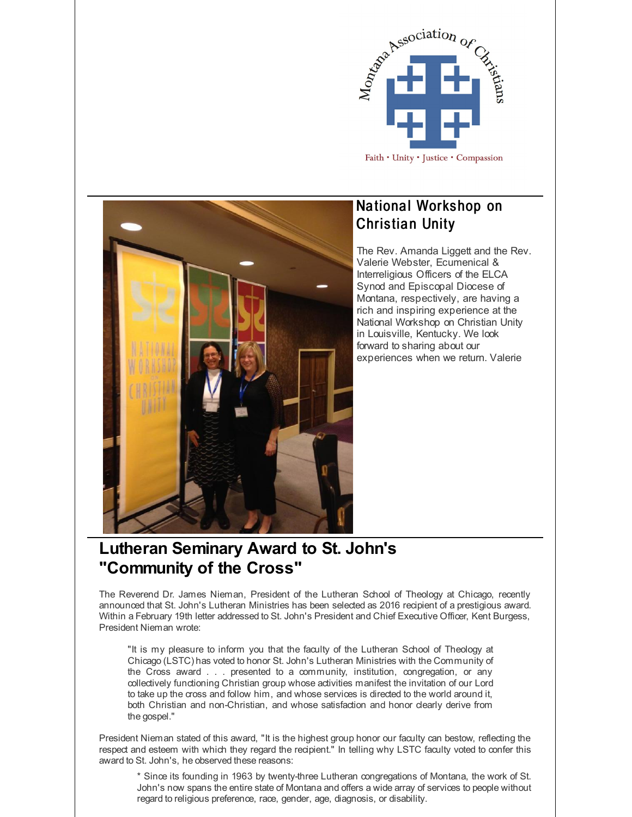



# National Workshop on **Christian Unity**

The Rev. Amanda Liggett and the Rev. Valerie Webster, Ecumenical & Interreligious Officers of the ELCA Synod and Episcopal Diocese of Montana, respectively, are having a rich and inspiring experience at the National Workshop on Christian Unity in Louisville, Kentucky. We look forward to sharing about our experiences when we return. Valerie

# **Lutheran Seminary Award to St. John's "Community of the Cross"**

The Reverend Dr. James Nieman, President of the Lutheran School of Theology at Chicago, recently announced that St. John's Lutheran Ministries has been selected as 2016 recipient of a prestigious award. Within a February 19th letter addressed to St. John's President and Chief Executive Officer, Kent Burgess, President Nieman wrote:

"It is my pleasure to inform you that the faculty of the Lutheran School of Theology at Chicago (LSTC) has voted to honor St. John's Lutheran Ministries with the Community of the Cross award . . . presented to a community, institution, congregation, or any collectively functioning Christian group whose activities manifest the invitation of our Lord to take up the cross and follow him, and whose services is directed to the world around it, both Christian and non-Christian, and whose satisfaction and honor clearly derive from the gospel."

President Nieman stated of this award, "It is the highest group honor our faculty can bestow, reflecting the respect and esteem with which they regard the recipient." In telling why LSTC faculty voted to confer this award to St. John's, he observed these reasons:

\* Since its founding in 1963 by twenty-three Lutheran congregations of Montana, the work of St. John's now spans the entire state of Montana and offers a wide array of services to people without regard to religious preference, race, gender, age, diagnosis, or disability.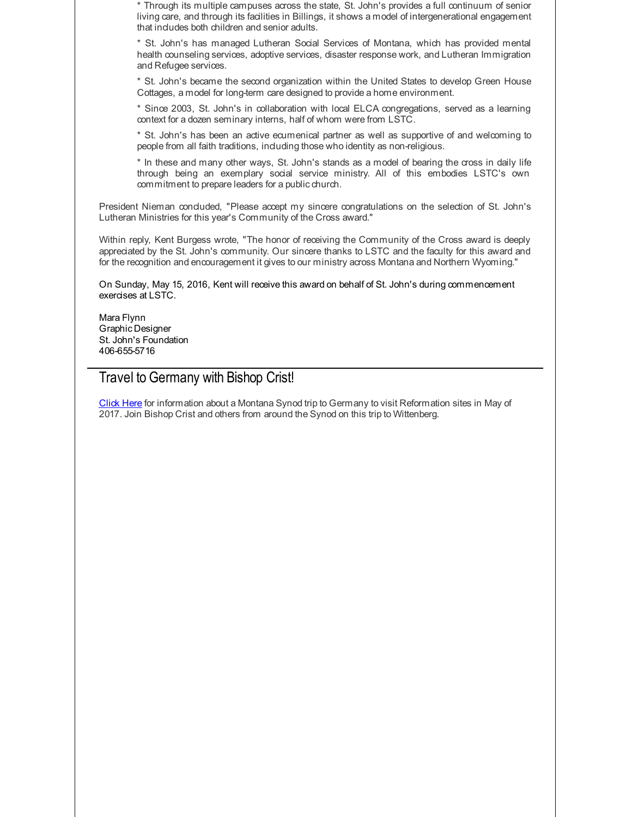\* Through its multiple campuses across the state, St. John's provides a full continuum of senior living care, and through its facilities in Billings, it shows a model of intergenerational engagement that includes both children and senior adults.

\* St. John's has managed Lutheran Social Services of Montana, which has provided mental health counseling services, adoptive services, disaster response work, and Lutheran Immigration and Refugee services.

\* St. John's became the second organization within the United States to develop Green House Cottages, a model for long-term care designed to provide a home environment.

\* Since 2003, St. John's in collaboration with local ELCA congregations, served as a learning context for a dozen seminary interns, half of whom were from LSTC.

\* St. John's has been an active ecumenical partner as well as supportive of and welcoming to people from all faith traditions, including those who identity as non-religious.

\* In these and many other ways, St. John's stands as a model of bearing the cross in daily life through being an exemplary social service ministry. All of this embodies LSTC's own commitment to prepare leaders for a public church.

President Nieman concluded, "Please accept my sincere congratulations on the selection of St. John's Lutheran Ministries for this year's Community of the Cross award."

Within reply, Kent Burgess wrote, "The honor of receiving the Community of the Cross award is deeply appreciated by the St. John's community. Our sincere thanks to LSTC and the faculty for this award and for the recognition and encouragement it gives to our ministry across Montana and Northern Wyoming."

On Sunday, May 15, 2016, Kent will receive this award on behalf of St. John's during commencement exercises at LSTC.

Mara Flynn Graphic Designer St. John's Foundation 406-655-5716

#### Travel to Germany with Bishop Crist!

[Click](http://r20.rs6.net/tn.jsp?f=001VR0bYdoLL7NJWggj3T_L1fmUzlR0RMXqqjtX4VaZEW8de-FOEDRxXN_d9D8HCPyWd8u8M7668GVH1rx-2E6W4RUsNwa4j2_gAuK-aVA5w7wGxb8Tzjqy2_8DVVms6-0hSi3KH3bPZq9l_oahYEvEXewBgOFwWo8-itaNI4VJUMAqWIuZTXuFptpJY2wOOiiTFVOnaY4n3PGYa0MyXWgb0CSpYWyQhl6L018fbrpaTWXNorSBWp3lba3FzxnVeGIg8wKBVju5LHXL7VhYf5ahvM7mwyHoQKeP&c=&ch=) Here for information about a Montana Synod trip to Germany to visit Reformation sites in May of 2017. Join Bishop Crist and others from around the Synod on this trip to Wittenberg.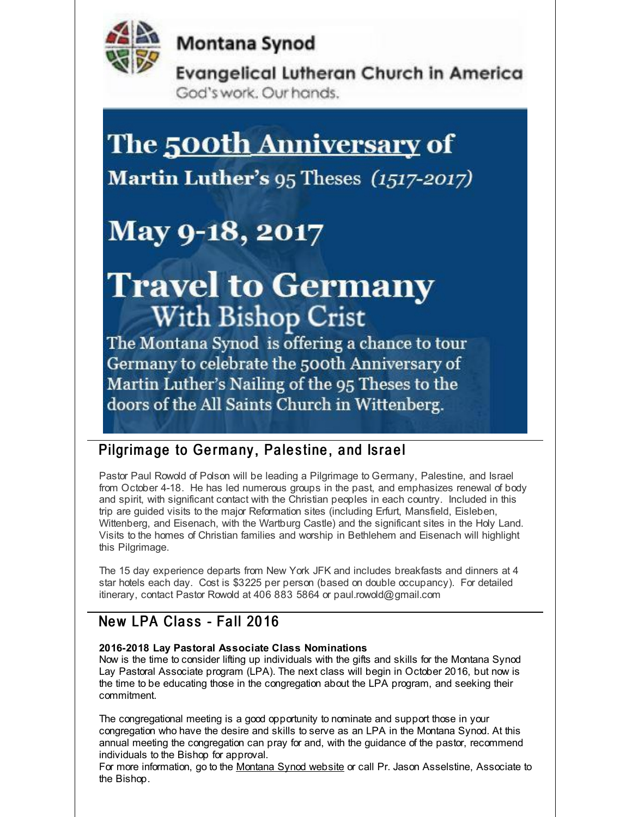

**Montana Synod** 

**Evangelical Lutheran Church in America** God's work. Our hands.

# The <u>500th Anniversary</u> of

Martin Luther's 95 Theses (1517-2017)

# May 9-18, 2017

# **Travel to Germany With Bishop Crist**

The Montana Synod is offering a chance to tour Germany to celebrate the 500th Anniversary of Martin Luther's Nailing of the 95 Theses to the doors of the All Saints Church in Wittenberg.

#### Pilgrimage to Germany, Palestine, and Israel

Pastor Paul Rowold of Polson will be leading a Pilgrimage to Germany, Palestine, and Israel from October 4-18. He has led numerous groups in the past, and emphasizes renewal of body and spirit, with significant contact with the Christian peoples in each country. Included in this trip are guided visits to the major Reformation sites (including Erfurt, Mansfield, Eisleben, Wittenberg, and Eisenach, with the Wartburg Castle) and the significant sites in the Holy Land. Visits to the homes of Christian families and worship in Bethlehem and Eisenach will highlight this Pilgrimage.

The 15 day experience departs from New York JFK and includes breakfasts and dinners at 4 star hotels each day. Cost is \$3225 per person (based on double occupancy). For detailed itinerary, contact Pastor Rowold at 406 883 5864 or paul.rowold@gmail.com

# New LPA Class - Fall 2016

#### **2016-2018 Lay Pastoral Associate Class Nominations**

Now is the time to consider lifting up individuals with the gifts and skills for the Montana Synod Lay Pastoral Associate program (LPA). The next class will begin in October 2016, but now is the time to be educating those in the congregation about the LPA program, and seeking their commitment.

The congregational meeting is a good opportunity to nominate and support those in your congregation who have the desire and skills to serve as an LPA in the Montana Synod. At this annual meeting the congregation can pray for and, with the guidance of the pastor, recommend individuals to the Bishop for approval.

For more information, go to the [Montana](http://r20.rs6.net/tn.jsp?f=001VR0bYdoLL7NJWggj3T_L1fmUzlR0RMXqqjtX4VaZEW8de-FOEDRxXF_DTOU1nmq69w6I5auhewUkF-za685Tos2NoDk63E-m9qE9K9xfempNEt9L9D8oXcx_fBUKEuFmx9Usf9F0D5B3a_nd-8upIcG8u_abAWXt9_Mwn8_VjV54gFitLsG-vw==&c=&ch=) Synod website or call Pr. Jason Asselstine, Associate to the Bishop.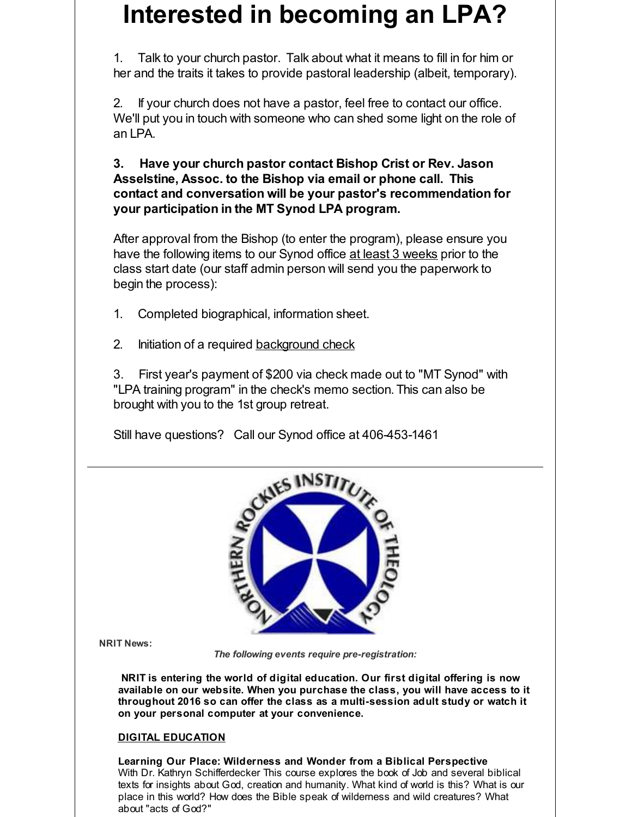# **Interested in becoming an LPA?**

1. Talk to your church pastor. Talk about what it means to fill in for him or her and the traits it takes to provide pastoral leadership (albeit, temporary).

2. If your church does not have a pastor, feel free to contact our office. We'll put you in touch with someone who can shed some light on the role of an LPA.

**3. Have your church pastor contact Bishop Crist or Rev. Jason Asselstine, Assoc. to the Bishop via email or phone call. This contact and conversation will be your pastor's recommendation for your participation in the MT Synod LPA program.**

After approval from the Bishop (to enter the program), please ensure you have the following items to our Synod office at least 3 weeks prior to the class start date (our staff admin person will send you the paperwork to begin the process):

- 1. Completed biographical, information sheet.
- 2. Initiation of a required [background](http://r20.rs6.net/tn.jsp?f=001VR0bYdoLL7NJWggj3T_L1fmUzlR0RMXqqjtX4VaZEW8de-FOEDRxXCLyvHEt9WLa-yk-lmyf6h3am-XJcGteRpUieONYj7x34ahebqD9aOtIvR6rk9ObOtDpn9GoIi_knUG10SfQFfyKnwBsqsucBW1kvtKhhwgTsPC1VklIjwczBiDeJVR3BmBGuNeAtsaaj9CchOtAm2J2OdOcLP180A==&c=&ch=) check

3. First year's payment of \$200 via check made out to "MT Synod" with "LPA training program" in the check's memo section. This can also be brought with you to the 1st group retreat.

Still have questions? Call our Synod office at 406-453-1461



**NRIT News:**

*The following events require pre-registration:*

**NRIT is entering the world of digital education. Our first digital offering is now available on our website. When you purchase the class, you will have access to it throughout 2016 so can offer the class as a multi-session adult study or watch it on your personal computer at your convenience.**

#### **DIGITAL EDUCATION**

**Learning Our Place: Wilderness and Wonder from a Biblical Perspective** With Dr. Kathryn Schifferdecker This course explores the book of Job and several biblical texts for insights about God, creation and humanity. What kind of world is this? What is our place in this world? How does the Bible speak of wilderness and wild creatures? What about "acts of God?"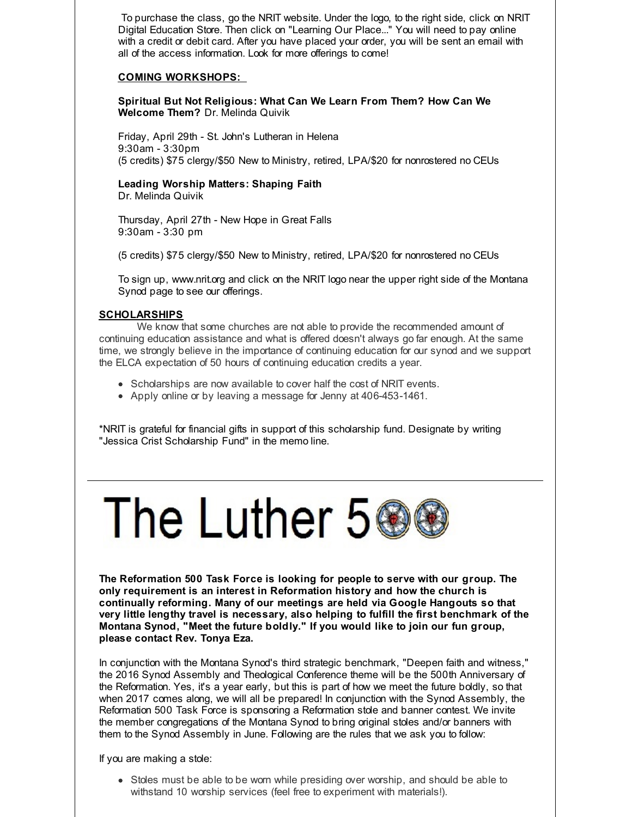To purchase the class, go the NRIT website. Under the logo, to the right side, click on NRIT Digital Education Store. Then click on "Learning Our Place..." You will need to pay online with a credit or debit card. After you have placed your order, you will be sent an email with all of the access information. Look for more offerings to come!

#### **COMING WORKSHOPS:**

**Spiritual But Not Religious: What Can We Learn From Them? How Can We Welcome Them?** Dr. Melinda Quivik

Friday, April 29th - St. John's Lutheran in Helena 9:30am - 3:30pm (5 credits) \$75 clergy/\$50 New to Ministry, retired, LPA/\$20 for nonrostered no CEUs

**Leading Worship Matters: Shaping Faith** Dr. Melinda Quivik

Thursday, April 27th - New Hope in Great Falls 9:30am - 3:30 pm

(5 credits) \$75 clergy/\$50 New to Ministry, retired, LPA/\$20 for nonrostered no CEUs

To sign up, www.nrit.org and click on the NRIT logo near the upper right side of the Montana Synod page to see our offerings.

#### **SCHOLARSHIPS**

We know that some churches are not able to provide the recommended amount of continuing education assistance and what is offered doesn't always go far enough. At the same time, we strongly believe in the importance of continuing education for our synod and we support the ELCA expectation of 50 hours of continuing education credits a year.

- Scholarships are now available to cover half the cost of NRIT events.
- Apply online or by leaving a message for Jenny at 406-453-1461.

\*NRIT is grateful for financial gifts in support of this scholarship fund. Designate by writing "Jessica Crist Scholarship Fund" in the memo line.



**The Reformation 500 Task Force is looking for people to serve with our group. The only requirement is an interest in Reformation history and how the church is continually reforming. Many of our meetings are held via Google Hangouts so that very little lengthy travel is necessary, also helping to fulfill the first benchmark of the Montana Synod, "Meet the future boldly." If you would like to join our fun group, please contact Rev. Tonya Eza.**

In conjunction with the Montana Synod's third strategic benchmark, "Deepen faith and witness," the 2016 Synod Assembly and Theological Conference theme will be the 500th Anniversary of the Reformation. Yes, it's a year early, but this is part of how we meet the future boldly, so that when 2017 comes along, we will all be prepared! In conjunction with the Synod Assembly, the Reformation 500 Task Force is sponsoring a Reformation stole and banner contest. We invite the member congregations of the Montana Synod to bring original stoles and/or banners with them to the Synod Assembly in June. Following are the rules that we ask you to follow:

If you are making a stole:

• Stoles must be able to be worn while presiding over worship, and should be able to withstand 10 worship services (feel free to experiment with materials!).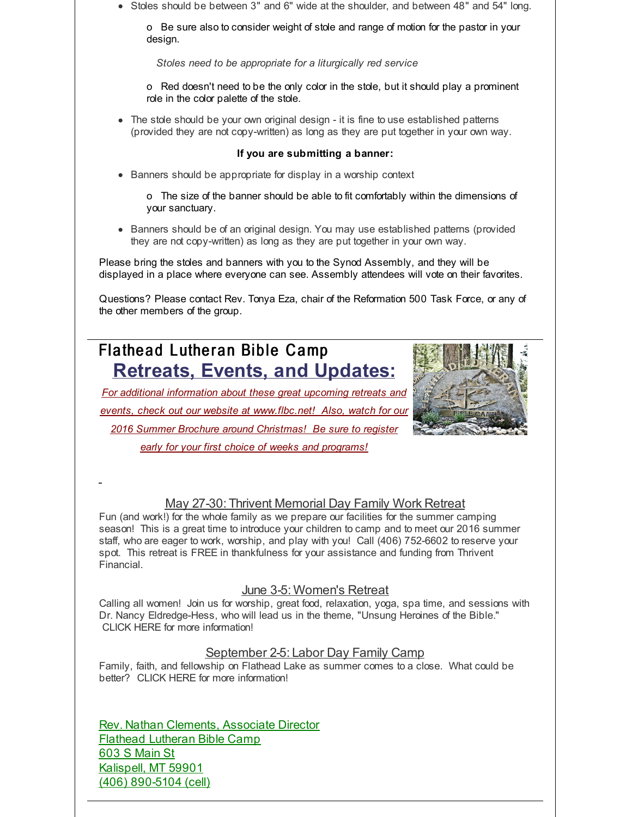Stoles should be between 3" and 6" wide at the shoulder, and between 48" and 54" long.

o Be sure also to consider weight of stole and range of motion for the pastor in your design.

*Stoles need to be appropriate for a liturgically red service*

o Red doesn't need to be the only color in the stole, but it should play a prominent role in the color palette of the stole.

The stole should be your own original design - it is fine to use established patterns (provided they are not copy-written) as long as they are put together in your own way.

#### **If you are submitting a banner:**

• Banners should be appropriate for display in a worship context

o The size of the banner should be able to fit comfortably within the dimensions of your sanctuary.

• Banners should be of an original design. You may use established patterns (provided they are not copy-written) as long as they are put together in your own way.

Please bring the stoles and banners with you to the Synod Assembly, and they will be displayed in a place where everyone can see. Assembly attendees will vote on their favorites.

Questions? Please contact Rev. Tonya Eza, chair of the Reformation 500 Task Force, or any of the other members of the group.

# Flathead Lutheran Bible Camp **Retreats, Events, and Updates:**

*For additional information about these great upcoming retreats and events, check out our website at [www.flbc.net](http://r20.rs6.net/tn.jsp?f=001VR0bYdoLL7NJWggj3T_L1fmUzlR0RMXqqjtX4VaZEW8de-FOEDRxXPgIyPyHG_XDzM9Rc-LDNnmmoVbvylUr4BSyN14wMG2j-vzQvJEj7iGoEz1XBnJwSx9F8GZ9g2DMvs3BRUO5oBwqf4FoXeai53JtqHdsBKIOOoFHK_P1bK7mXdKjWM148zRoBWKV3ElSjOs6fzLwdYOfNomS5je2SQa5CfXP5v9bcUizPR3D5-_uhfTMAGn6OPmSHjc8GPdt&c=&ch=)! Also, watch for our 2016 Summer Brochure around Christmas! Be sure to register early for your first choice of weeks and programs!*



#### May 27-30: Thrivent Memorial Day Family Work Retreat

Fun (and work!) for the whole family as we prepare our facilities for the summer camping season! This is a great time to introduce your children to camp and to meet our 2016 summer staff, who are eager to work, worship, and play with you! Call (406) 752-6602 to reserve your spot. This retreat is FREE in thankfulness for your assistance and funding from Thrivent **Financial** 

#### June 3-5: Women's Retreat

Calling all women! Join us for worship, great food, relaxation, yoga, spa time, and sessions with Dr. Nancy Eldredge-Hess, who will lead us in the theme, "Unsung Heroines of the Bible." CLICK HERE for more information!

#### September 2-5: Labor Day Family Camp

Family, faith, and fellowship on Flathead Lake as summer comes to a close. What could be better? CLICK HERE for more information!

Rev. Nathan Clements, Associate Director Flathead Lutheran Bible Camp 603 S Main St Kalispell, MT 59901 (406) 890-5104 (cell)